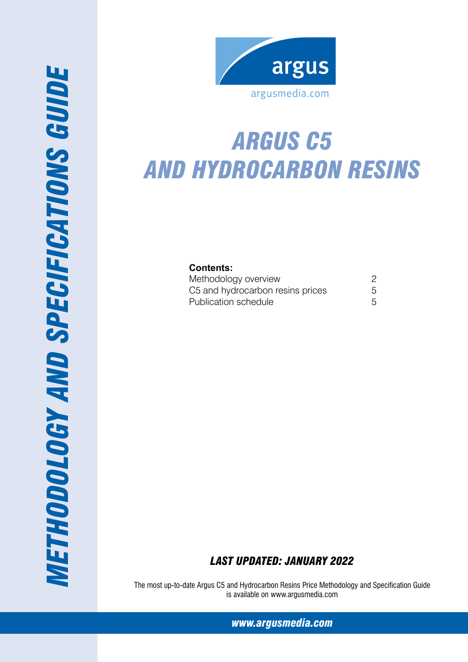

# *Argus C5 and hydrocarbon resins*

**Contents:**

| Methodology overview                                     |  |
|----------------------------------------------------------|--|
| C5 and hydrocarbon resins prices<br>Publication schedule |  |

# *Last Updated: January 2022*

The most up-to-date Argus C5 and Hydrocarbon Resins Price Methodology and Specification Guide is available on www.argusmedia.com

*[www.argusmedia.com](http://www.argusmediagroup.com)*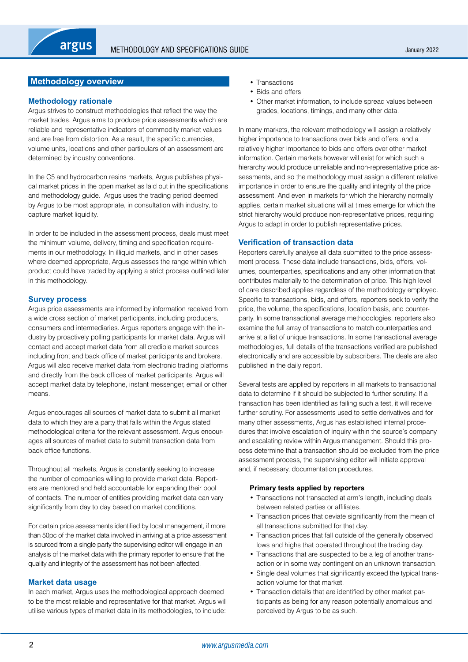# <span id="page-1-0"></span>**Methodology overview**

# **Methodology rationale**

Argus strives to construct methodologies that reflect the way the market trades. Argus aims to produce price assessments which are reliable and representative indicators of commodity market values and are free from distortion. As a result, the specific currencies, volume units, locations and other particulars of an assessment are determined by industry conventions.

In the C5 and hydrocarbon resins markets, Argus publishes physical market prices in the open market as laid out in the specifications and methodology guide. Argus uses the trading period deemed by Argus to be most appropriate, in consultation with industry, to capture market liquidity.

In order to be included in the assessment process, deals must meet the minimum volume, delivery, timing and specification requirements in our methodology. In illiquid markets, and in other cases where deemed appropriate, Argus assesses the range within which product could have traded by applying a strict process outlined later in this methodology.

# **Survey process**

Argus price assessments are informed by information received from a wide cross section of market participants, including producers, consumers and intermediaries. Argus reporters engage with the industry by proactively polling participants for market data. Argus will contact and accept market data from all credible market sources including front and back office of market participants and brokers. Argus will also receive market data from electronic trading platforms and directly from the back offices of market participants. Argus will accept market data by telephone, instant messenger, email or other means.

Argus encourages all sources of market data to submit all market data to which they are a party that falls within the Argus stated methodological criteria for the relevant assessment. Argus encourages all sources of market data to submit transaction data from back office functions.

Throughout all markets, Argus is constantly seeking to increase the number of companies willing to provide market data. Reporters are mentored and held accountable for expanding their pool of contacts. The number of entities providing market data can vary significantly from day to day based on market conditions.

For certain price assessments identified by local management, if more than 50pc of the market data involved in arriving at a price assessment is sourced from a single party the supervising editor will engage in an analysis of the market data with the primary reporter to ensure that the quality and integrity of the assessment has not been affected.

# **Market data usage**

In each market, Argus uses the methodological approach deemed to be the most reliable and representative for that market. Argus will utilise various types of market data in its methodologies, to include:

- Transactions
- Bids and offers
- Other market information, to include spread values between grades, locations, timings, and many other data.

In many markets, the relevant methodology will assign a relatively higher importance to transactions over bids and offers, and a relatively higher importance to bids and offers over other market information. Certain markets however will exist for which such a hierarchy would produce unreliable and non-representative price assessments, and so the methodology must assign a different relative importance in order to ensure the quality and integrity of the price assessment. And even in markets for which the hierarchy normally applies, certain market situations will at times emerge for which the strict hierarchy would produce non-representative prices, requiring Argus to adapt in order to publish representative prices.

# **Verification of transaction data**

Reporters carefully analyse all data submitted to the price assessment process. These data include transactions, bids, offers, volumes, counterparties, specifications and any other information that contributes materially to the determination of price. This high level of care described applies regardless of the methodology employed. Specific to transactions, bids, and offers, reporters seek to verify the price, the volume, the specifications, location basis, and counterparty. In some transactional average methodologies, reporters also examine the full array of transactions to match counterparties and arrive at a list of unique transactions. In some transactional average methodologies, full details of the transactions verified are published electronically and are accessible by subscribers. The deals are also published in the daily report.

Several tests are applied by reporters in all markets to transactional data to determine if it should be subjected to further scrutiny. If a transaction has been identified as failing such a test, it will receive further scrutiny. For assessments used to settle derivatives and for many other assessments, Argus has established internal procedures that involve escalation of inquiry within the source's company and escalating review within Argus management. Should this process determine that a transaction should be excluded from the price assessment process, the supervising editor will initiate approval and, if necessary, documentation procedures.

# **Primary tests applied by reporters**

- Transactions not transacted at arm's length, including deals between related parties or affiliates.
- Transaction prices that deviate significantly from the mean of all transactions submitted for that day.
- Transaction prices that fall outside of the generally observed lows and highs that operated throughout the trading day.
- Transactions that are suspected to be a leg of another transaction or in some way contingent on an unknown transaction.
- Single deal volumes that significantly exceed the typical transaction volume for that market.
- Transaction details that are identified by other market participants as being for any reason potentially anomalous and perceived by Argus to be as such.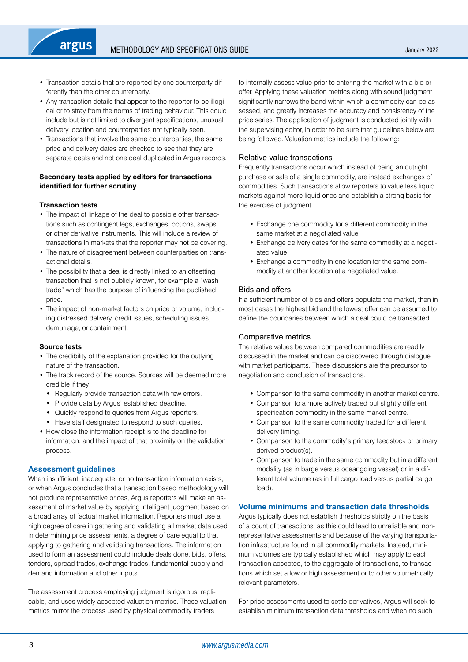- Transaction details that are reported by one counterparty differently than the other counterparty.
- Any transaction details that appear to the reporter to be illogical or to stray from the norms of trading behaviour. This could include but is not limited to divergent specifications, unusual delivery location and counterparties not typically seen.
- Transactions that involve the same counterparties, the same price and delivery dates are checked to see that they are separate deals and not one deal duplicated in Argus records.

# **Secondary tests applied by editors for transactions identified for further scrutiny**

#### **Transaction tests**

argus

- The impact of linkage of the deal to possible other transactions such as contingent legs, exchanges, options, swaps, or other derivative instruments. This will include a review of transactions in markets that the reporter may not be covering.
- The nature of disagreement between counterparties on transactional details.
- The possibility that a deal is directly linked to an offsetting transaction that is not publicly known, for example a "wash trade" which has the purpose of influencing the published price.
- The impact of non-market factors on price or volume, including distressed delivery, credit issues, scheduling issues, demurrage, or containment.

#### **Source tests**

- The credibility of the explanation provided for the outlying nature of the transaction.
- The track record of the source. Sources will be deemed more credible if they
	- Regularly provide transaction data with few errors.
	- Provide data by Argus' established deadline.
	- • Quickly respond to queries from Argus reporters.
- Have staff designated to respond to such queries.
- • How close the information receipt is to the deadline for information, and the impact of that proximity on the validation process.

# **Assessment guidelines**

When insufficient, inadequate, or no transaction information exists, or when Argus concludes that a transaction based methodology will not produce representative prices, Argus reporters will make an assessment of market value by applying intelligent judgment based on a broad array of factual market information. Reporters must use a high degree of care in gathering and validating all market data used in determining price assessments, a degree of care equal to that applying to gathering and validating transactions. The information used to form an assessment could include deals done, bids, offers, tenders, spread trades, exchange trades, fundamental supply and demand information and other inputs.

The assessment process employing judgment is rigorous, replicable, and uses widely accepted valuation metrics. These valuation metrics mirror the process used by physical commodity traders

to internally assess value prior to entering the market with a bid or offer. Applying these valuation metrics along with sound judgment significantly narrows the band within which a commodity can be assessed, and greatly increases the accuracy and consistency of the price series. The application of judgment is conducted jointly with the supervising editor, in order to be sure that guidelines below are being followed. Valuation metrics include the following:

#### Relative value transactions

Frequently transactions occur which instead of being an outright purchase or sale of a single commodity, are instead exchanges of commodities. Such transactions allow reporters to value less liquid markets against more liquid ones and establish a strong basis for the exercise of judgment.

- • Exchange one commodity for a different commodity in the same market at a negotiated value.
- Exchange delivery dates for the same commodity at a negotiated value.
- Exchange a commodity in one location for the same commodity at another location at a negotiated value.

#### Bids and offers

If a sufficient number of bids and offers populate the market, then in most cases the highest bid and the lowest offer can be assumed to define the boundaries between which a deal could be transacted.

# Comparative metrics

The relative values between compared commodities are readily discussed in the market and can be discovered through dialogue with market participants. These discussions are the precursor to negotiation and conclusion of transactions.

- Comparison to the same commodity in another market centre.
- Comparison to a more actively traded but slightly different specification commodity in the same market centre.
- • Comparison to the same commodity traded for a different delivery timing.
- Comparison to the commodity's primary feedstock or primary derived product(s).
- Comparison to trade in the same commodity but in a different modality (as in barge versus oceangoing vessel) or in a different total volume (as in full cargo load versus partial cargo load).

# **Volume minimums and transaction data thresholds**

Argus typically does not establish thresholds strictly on the basis of a count of transactions, as this could lead to unreliable and nonrepresentative assessments and because of the varying transportation infrastructure found in all commodity markets. Instead, minimum volumes are typically established which may apply to each transaction accepted, to the aggregate of transactions, to transactions which set a low or high assessment or to other volumetrically relevant parameters.

For price assessments used to settle derivatives, Argus will seek to establish minimum transaction data thresholds and when no such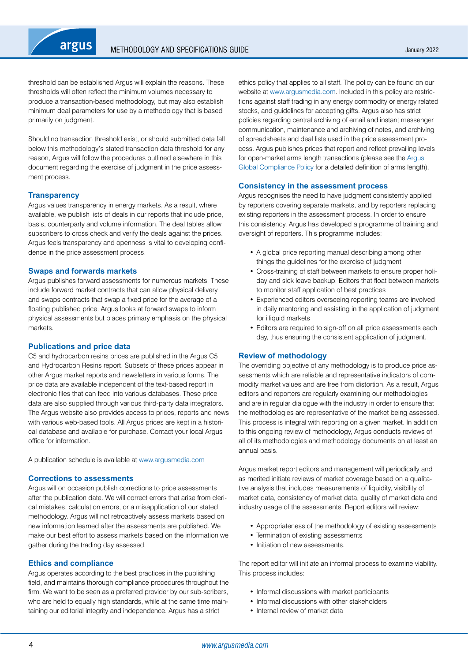

threshold can be established Argus will explain the reasons. These thresholds will often reflect the minimum volumes necessary to produce a transaction-based methodology, but may also establish minimum deal parameters for use by a methodology that is based primarily on judgment.

Should no transaction threshold exist, or should submitted data fall below this methodology's stated transaction data threshold for any reason, Argus will follow the procedures outlined elsewhere in this document regarding the exercise of judgment in the price assessment process.

#### **Transparency**

Argus values transparency in energy markets. As a result, where available, we publish lists of deals in our reports that include price, basis, counterparty and volume information. The deal tables allow subscribers to cross check and verify the deals against the prices. Argus feels transparency and openness is vital to developing confidence in the price assessment process.

#### **Swaps and forwards markets**

Argus publishes forward assessments for numerous markets. These include forward market contracts that can allow physical delivery and swaps contracts that swap a fixed price for the average of a floating published price. Argus looks at forward swaps to inform physical assessments but places primary emphasis on the physical markets.

#### **Publications and price data**

C5 and hydrocarbon resins prices are published in the Argus C5 and Hydrocarbon Resins report. Subsets of these prices appear in other Argus market reports and newsletters in various forms. The price data are available independent of the text-based report in electronic files that can feed into various databases. These price data are also supplied through various third-party data integrators. The Argus website also provides access to prices, reports and news with various web-based tools. All Argus prices are kept in a historical database and available for purchase. Contact your local Argus office for information.

A publication schedule is available at [www.argusmedia.com](https://www.argusmedia.com/)

#### **Corrections to assessments**

Argus will on occasion publish corrections to price assessments after the publication date. We will correct errors that arise from clerical mistakes, calculation errors, or a misapplication of our stated methodology. Argus will not retroactively assess markets based on new information learned after the assessments are published. We make our best effort to assess markets based on the information we gather during the trading day assessed.

# **Ethics and compliance**

Argus operates according to the best practices in the publishing field, and maintains thorough compliance procedures throughout the firm. We want to be seen as a preferred provider by our sub-scribers, who are held to equally high standards, while at the same time maintaining our editorial integrity and independence. Argus has a strict

ethics policy that applies to all staff. The policy can be found on our website at [www.argusmedia.com.](https://www.argusmedia.com/) Included in this policy are restrictions against staff trading in any energy commodity or energy related stocks, and guidelines for accepting gifts. Argus also has strict policies regarding central archiving of email and instant messenger communication, maintenance and archiving of notes, and archiving of spreadsheets and deal lists used in the price assessment process. Argus publishes prices that report and reflect prevailing levels for open-market arms length transactions (please see the [Argus](https://www.argusmedia.com/-/media/Files/governance-and-compliance/global-compliance.ashx?la=en&hash=D7D700EDAED183C15910880EDA933A50CDE8D196)  [Global Compliance Policy](https://www.argusmedia.com/-/media/Files/governance-and-compliance/global-compliance.ashx?la=en&hash=D7D700EDAED183C15910880EDA933A50CDE8D196) for a detailed definition of arms length).

#### **Consistency in the assessment process**

Argus recognises the need to have judgment consistently applied by reporters covering separate markets, and by reporters replacing existing reporters in the assessment process. In order to ensure this consistency, Argus has developed a programme of training and oversight of reporters. This programme includes:

- A global price reporting manual describing among other things the guidelines for the exercise of judgment
- Cross-training of staff between markets to ensure proper holiday and sick leave backup. Editors that float between markets to monitor staff application of best practices
- Experienced editors overseeing reporting teams are involved in daily mentoring and assisting in the application of judgment for illiquid markets
- Editors are required to sign-off on all price assessments each day, thus ensuring the consistent application of judgment.

#### **Review of methodology**

The overriding objective of any methodology is to produce price assessments which are reliable and representative indicators of commodity market values and are free from distortion. As a result, Argus editors and reporters are regularly examining our methodologies and are in regular dialogue with the industry in order to ensure that the methodologies are representative of the market being assessed. This process is integral with reporting on a given market. In addition to this ongoing review of methodology, Argus conducts reviews of all of its methodologies and methodology documents on at least an annual basis.

Argus market report editors and management will periodically and as merited initiate reviews of market coverage based on a qualitative analysis that includes measurements of liquidity, visibility of market data, consistency of market data, quality of market data and industry usage of the assessments. Report editors will review:

- Appropriateness of the methodology of existing assessments
- Termination of existing assessments
- Initiation of new assessments.

The report editor will initiate an informal process to examine viability. This process includes:

- Informal discussions with market participants
- Informal discussions with other stakeholders
- Internal review of market data